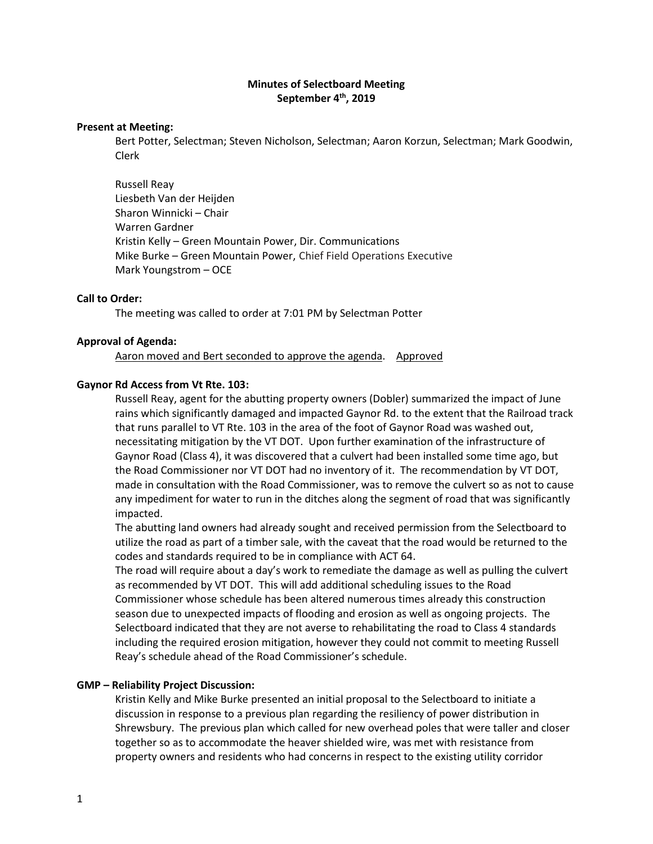# **Minutes of Selectboard Meeting September 4th, 2019**

### **Present at Meeting:**

Bert Potter, Selectman; Steven Nicholson, Selectman; Aaron Korzun, Selectman; Mark Goodwin, Clerk

Russell Reay Liesbeth Van der Heijden Sharon Winnicki – Chair Warren Gardner Kristin Kelly – Green Mountain Power, Dir. Communications Mike Burke – Green Mountain Power, Chief Field Operations Executive Mark Youngstrom – OCE

### **Call to Order:**

The meeting was called to order at 7:01 PM by Selectman Potter

#### **Approval of Agenda:**

Aaron moved and Bert seconded to approve the agenda. Approved

#### **Gaynor Rd Access from Vt Rte. 103:**

Russell Reay, agent for the abutting property owners (Dobler) summarized the impact of June rains which significantly damaged and impacted Gaynor Rd. to the extent that the Railroad track that runs parallel to VT Rte. 103 in the area of the foot of Gaynor Road was washed out, necessitating mitigation by the VT DOT. Upon further examination of the infrastructure of Gaynor Road (Class 4), it was discovered that a culvert had been installed some time ago, but the Road Commissioner nor VT DOT had no inventory of it. The recommendation by VT DOT, made in consultation with the Road Commissioner, was to remove the culvert so as not to cause any impediment for water to run in the ditches along the segment of road that was significantly impacted.

The abutting land owners had already sought and received permission from the Selectboard to utilize the road as part of a timber sale, with the caveat that the road would be returned to the codes and standards required to be in compliance with ACT 64.

The road will require about a day's work to remediate the damage as well as pulling the culvert as recommended by VT DOT. This will add additional scheduling issues to the Road Commissioner whose schedule has been altered numerous times already this construction season due to unexpected impacts of flooding and erosion as well as ongoing projects. The Selectboard indicated that they are not averse to rehabilitating the road to Class 4 standards including the required erosion mitigation, however they could not commit to meeting Russell Reay's schedule ahead of the Road Commissioner's schedule.

### **GMP – Reliability Project Discussion:**

Kristin Kelly and Mike Burke presented an initial proposal to the Selectboard to initiate a discussion in response to a previous plan regarding the resiliency of power distribution in Shrewsbury. The previous plan which called for new overhead poles that were taller and closer together so as to accommodate the heaver shielded wire, was met with resistance from property owners and residents who had concerns in respect to the existing utility corridor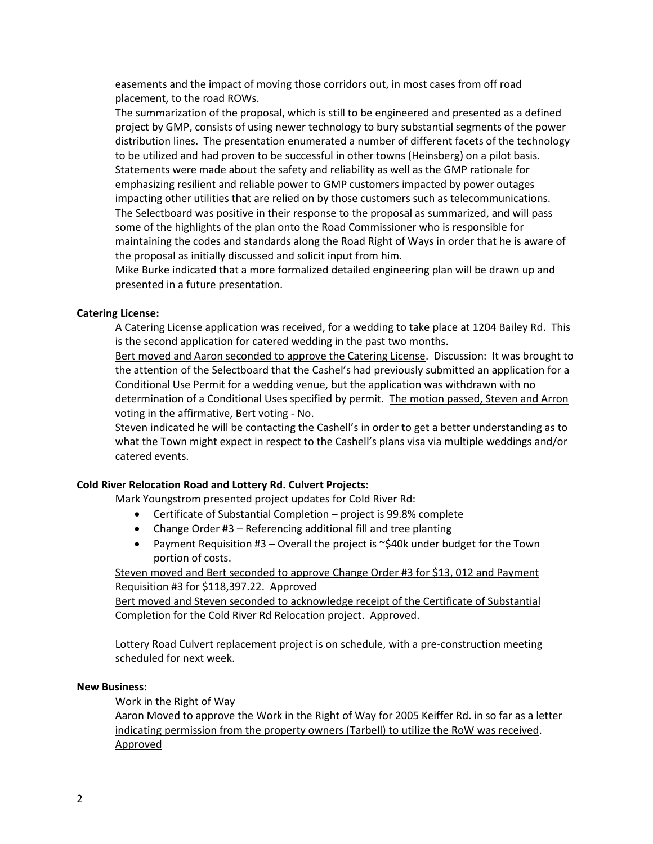easements and the impact of moving those corridors out, in most cases from off road placement, to the road ROWs.

The summarization of the proposal, which is still to be engineered and presented as a defined project by GMP, consists of using newer technology to bury substantial segments of the power distribution lines. The presentation enumerated a number of different facets of the technology to be utilized and had proven to be successful in other towns (Heinsberg) on a pilot basis. Statements were made about the safety and reliability as well as the GMP rationale for emphasizing resilient and reliable power to GMP customers impacted by power outages impacting other utilities that are relied on by those customers such as telecommunications. The Selectboard was positive in their response to the proposal as summarized, and will pass some of the highlights of the plan onto the Road Commissioner who is responsible for maintaining the codes and standards along the Road Right of Ways in order that he is aware of the proposal as initially discussed and solicit input from him.

Mike Burke indicated that a more formalized detailed engineering plan will be drawn up and presented in a future presentation.

# **Catering License:**

A Catering License application was received, for a wedding to take place at 1204 Bailey Rd. This is the second application for catered wedding in the past two months.

Bert moved and Aaron seconded to approve the Catering License. Discussion: It was brought to the attention of the Selectboard that the Cashel's had previously submitted an application for a Conditional Use Permit for a wedding venue, but the application was withdrawn with no determination of a Conditional Uses specified by permit. The motion passed, Steven and Arron voting in the affirmative, Bert voting - No.

Steven indicated he will be contacting the Cashell's in order to get a better understanding as to what the Town might expect in respect to the Cashell's plans visa via multiple weddings and/or catered events.

### **Cold River Relocation Road and Lottery Rd. Culvert Projects:**

Mark Youngstrom presented project updates for Cold River Rd:

- Certificate of Substantial Completion project is 99.8% complete
- Change Order #3 Referencing additional fill and tree planting
- Payment Requisition  $#3$  Overall the project is  $\sim$ \$40k under budget for the Town portion of costs.

# Steven moved and Bert seconded to approve Change Order #3 for \$13, 012 and Payment Requisition #3 for \$118,397.22. Approved

Bert moved and Steven seconded to acknowledge receipt of the Certificate of Substantial Completion for the Cold River Rd Relocation project. Approved.

Lottery Road Culvert replacement project is on schedule, with a pre-construction meeting scheduled for next week.

### **New Business:**

Work in the Right of Way

Aaron Moved to approve the Work in the Right of Way for 2005 Keiffer Rd. in so far as a letter indicating permission from the property owners (Tarbell) to utilize the RoW was received. Approved